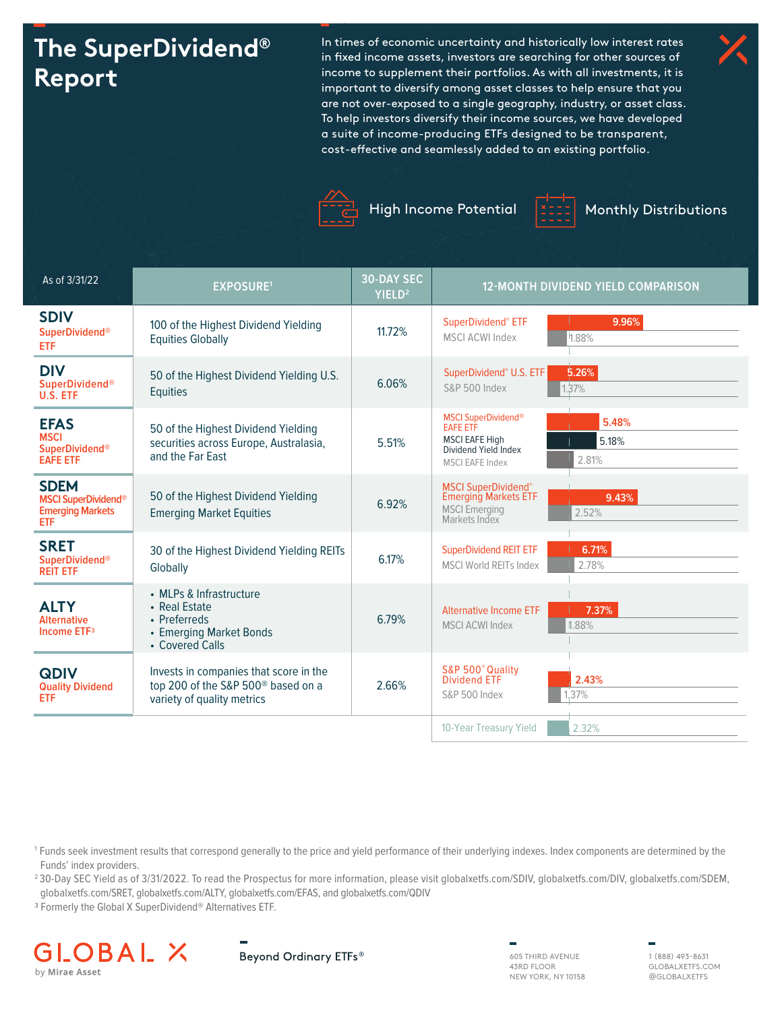# **The SuperDividend® Report**

In times of economic uncertainty and historically low interest rates in fixed income assets, investors are searching for other sources of income to supplement their portfolios. As with all investments, it is important to diversify among asset classes to help ensure that you are not over-exposed to a single geography, industry, or asset class. To help investors diversify their income sources, we have developed a suite of income-producing ETFs designed to be transparent, cost-effective and seamlessly added to an existing portfolio.





High Income Potential | 1002 | Monthly Distributions



| As of 3/31/22                                                               | <b>EXPOSURE1</b>                                                                                                       | <b>30-DAY SEC</b><br>YIELD <sup>2</sup> | <b>12-MONTH DIVIDEND YIELD COMPARISON</b>                                                                                                           |
|-----------------------------------------------------------------------------|------------------------------------------------------------------------------------------------------------------------|-----------------------------------------|-----------------------------------------------------------------------------------------------------------------------------------------------------|
| <b>SDIV</b><br><b>SuperDividend®</b><br>ETF                                 | 100 of the Highest Dividend Yielding<br><b>Equities Globally</b>                                                       | 11.72%                                  | 9.96%<br>SuperDividend® ETF<br><b>MSCI ACWI Index</b><br>1.88%                                                                                      |
| <b>DIV</b><br><b>SuperDividend®</b><br>U.S. ETF                             | 50 of the Highest Dividend Yielding U.S.<br><b>Equities</b>                                                            | 6.06%                                   | 5.26%<br>SuperDividend® U.S. ETF<br><b>S&amp;P 500 Index</b><br>1.37%                                                                               |
| <b>EFAS</b><br><b>MSCI</b><br><b>SuperDividend®</b><br><b>EAFE ETF</b>      | 50 of the Highest Dividend Yielding<br>securities across Europe, Australasia,<br>and the Far East                      | 5.51%                                   | <b>MSCI SuperDividend®</b><br>5.48%<br><b>EAFE ETF</b><br><b>MSCI EAFE High</b><br>5.18%<br>Dividend Yield Index<br>2.81%<br><b>MSCI EAFE Index</b> |
| <b>SDEM</b><br><b>MSCI SuperDividend®</b><br><b>Emerging Markets</b><br>ETF | 50 of the Highest Dividend Yielding<br><b>Emerging Market Equities</b>                                                 | 6.92%                                   | <b>MSCI SuperDividend®</b><br><b>Emerging Markets ETF</b><br>9.43%<br><b>MSCI</b> Emerging<br>2.52%<br>Markets Index                                |
| <b>SRET</b><br><b>SuperDividend®</b><br><b>REIT ETF</b>                     | 30 of the Highest Dividend Yielding REITs<br>Globally                                                                  | 6.17%                                   | <b>SuperDividend REIT ETF</b><br>6.71%<br>2.78%<br><b>MSCI World REITs Index</b>                                                                    |
| <b>ALTY</b><br><b>Alternative</b><br>Income ETF <sup>3</sup>                | • MLPs & Infrastructure<br>• Real Estate<br>• Preferreds<br>• Emerging Market Bonds<br>• Covered Calls                 | 6.79%                                   | 7.37%<br><b>Alternative Income ETF</b><br>1.88%<br><b>MSCI ACWI Index</b>                                                                           |
| <b>QDIV</b><br><b>Quality Dividend</b><br>ETF                               | Invests in companies that score in the<br>top 200 of the S&P 500 <sup>®</sup> based on a<br>variety of quality metrics | 2.66%                                   | S&P 500° Quality<br><b>Dividend ETF</b><br>2.43%<br>37%<br><b>S&amp;P 500 Index</b>                                                                 |
|                                                                             |                                                                                                                        |                                         | 10-Year Treasury Yield<br>2.32%                                                                                                                     |

1 Funds seek investment results that correspond generally to the price and yield performance of their underlying indexes. Index components are determined by the Funds' index providers.

2 30-Day SEC Yield as of 3/31/2022. To read the Prospectus for more information, please visit globalxetfs.com/SDIV, globalxetfs.com/DIV, globalxetfs.com/SDEM, globalxetfs.com/SRET, globalxetfs.com/ALTY, globalxetfs.com/EFAS, and globalxetfs.com/QDIV

3 Formerly the Global X SuperDividend® Alternatives ETF.





43RD FLOOR NEW YORK, NY 10158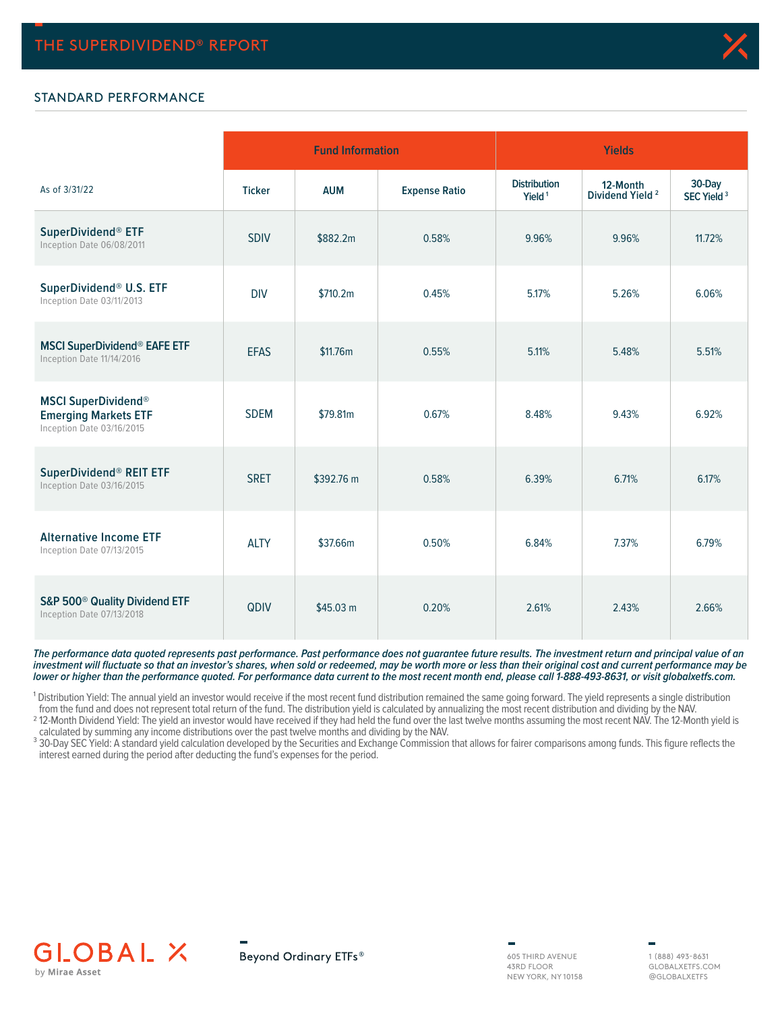

## STANDARD PERFORMANCE

|                                                                                        |               | <b>Fund Information</b> |                      | <b>Yields</b>                             |                                         |                                  |  |  |
|----------------------------------------------------------------------------------------|---------------|-------------------------|----------------------|-------------------------------------------|-----------------------------------------|----------------------------------|--|--|
| As of 3/31/22                                                                          | <b>Ticker</b> | <b>AUM</b>              | <b>Expense Ratio</b> | <b>Distribution</b><br>Yield <sup>1</sup> | 12-Month<br>Dividend Yield <sup>2</sup> | 30-Day<br>SEC Yield <sup>3</sup> |  |  |
| SuperDividend® ETF<br>Inception Date 06/08/2011                                        | <b>SDIV</b>   | \$882.2m                | 0.58%                | 9.96%                                     | 9.96%                                   | 11.72%                           |  |  |
| SuperDividend® U.S. ETF<br>Inception Date 03/11/2013                                   | <b>DIV</b>    | \$710.2m                | 0.45%                | 5.17%                                     | 5.26%                                   | 6.06%                            |  |  |
| <b>MSCI SuperDividend® EAFE ETF</b><br>Inception Date 11/14/2016                       | <b>EFAS</b>   | \$11.76m                | 0.55%                | 5.11%                                     | 5.48%                                   | 5.51%                            |  |  |
| <b>MSCI SuperDividend®</b><br><b>Emerging Markets ETF</b><br>Inception Date 03/16/2015 | <b>SDEM</b>   | \$79.81m                | 0.67%                | 8.48%                                     | 9.43%                                   | 6.92%                            |  |  |
| SuperDividend® REIT ETF<br>Inception Date 03/16/2015                                   | <b>SRET</b>   | \$392.76 m              | 0.58%                | 6.39%                                     | 6.71%                                   | 6.17%                            |  |  |
| <b>Alternative Income ETF</b><br>Inception Date 07/13/2015                             | <b>ALTY</b>   | \$37.66m                | 0.50%                | 6.84%                                     | 7.37%                                   | 6.79%                            |  |  |
| S&P 500 <sup>®</sup> Quality Dividend ETF<br>Inception Date 07/13/2018                 | QDIV          | \$45.03 m               | 0.20%                | 2.61%                                     | 2.43%                                   | 2.66%                            |  |  |

**The performance data quoted represents past performance. Past performance does not guarantee future results. The investment return and principal value of an investment will fluctuate so that an investor's shares, when sold or redeemed, may be worth more or less than their original cost and current performance may be lower or higher than the performance quoted. For performance data current to the most recent month end, please call 1-888-493-8631, or visit globalxetfs.com.**

<sup>1</sup> Distribution Yield: The annual yield an investor would receive if the most recent fund distribution remained the same going forward. The yield represents a single distribution from the fund and does not represent total return of the fund. The distribution yield is calculated by annualizing the most recent distribution and dividing by the NAV.

<sup>2</sup> 12-Month Dividend Yield: The yield an investor would have received if they had held the fund over the last twelve months assuming the most recent NAV. The 12-Month yield is calculated by summing any income distributions over the past twelve months and dividing by the NAV.

<sup>3</sup> 30-Day SEC Yield: A standard yield calculation developed by the Securities and Exchange Commission that allows for fairer comparisons among funds. This figure reflects the interest earned during the period after deducting the fund's expenses for the period.



Beyond Ordinary ETFs®

605 THIRD AVENUE 43RD FLOOR NEW YORK, NY 10158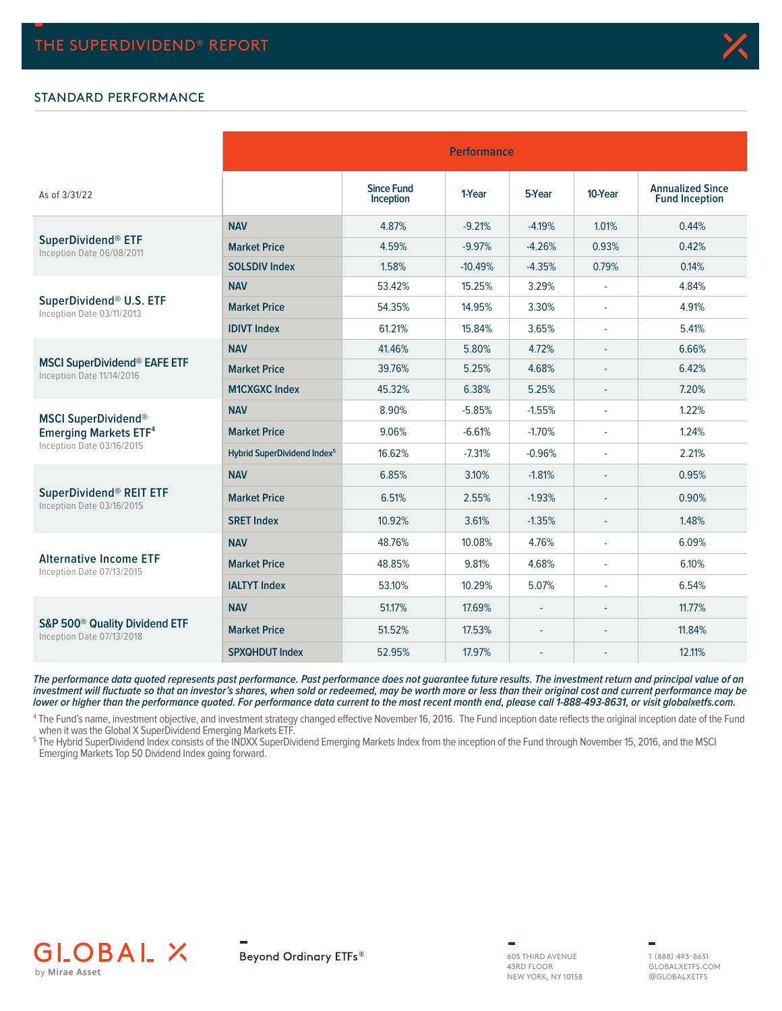### STANDARD PERFORMANCE

|                                                                        | <b>Performance</b>                      |                                |           |                          |                          |                                                  |  |  |  |
|------------------------------------------------------------------------|-----------------------------------------|--------------------------------|-----------|--------------------------|--------------------------|--------------------------------------------------|--|--|--|
| As of 3/31/22                                                          |                                         | <b>Since Fund</b><br>Inception | 1-Year    | 5-Year                   | 10-Year                  | <b>Annualized Since</b><br><b>Fund Inception</b> |  |  |  |
|                                                                        | <b>NAV</b>                              | 4.87%                          | $-9.21%$  | $-4.19%$                 | 1.01%                    | 0.44%                                            |  |  |  |
| SuperDividend <sup>®</sup> ETF<br>Inception Date 06/08/2011            | <b>Market Price</b>                     | 4.59%                          | $-9.97%$  | $-4.26%$                 | 0.93%                    | 0.42%                                            |  |  |  |
|                                                                        | <b>SOLSDIV Index</b>                    | 1.58%                          | $-10.49%$ | $-4.35%$                 | 0.79%                    | 0.14%                                            |  |  |  |
|                                                                        | <b>NAV</b>                              | 53.42%                         | 15.25%    | 3.29%                    |                          | 4.84%                                            |  |  |  |
| SuperDividend® U.S. ETF<br>Inception Date 03/11/2013                   | <b>Market Price</b>                     | 54.35%                         | 14.95%    | 3.30%                    |                          | 4.91%                                            |  |  |  |
|                                                                        | <b>IDIVT Index</b>                      | 61.21%                         | 15.84%    | 3.65%                    |                          | 5.41%                                            |  |  |  |
|                                                                        | <b>NAV</b>                              | 41.46%                         | 5.80%     | 4.72%                    |                          | 6.66%                                            |  |  |  |
| <b>MSCI SuperDividend® EAFE ETF</b><br>Inception Date 11/14/2016       | <b>Market Price</b>                     | 39.76%                         | 5.25%     | 4.68%                    | ÷                        | 6.42%                                            |  |  |  |
|                                                                        | <b>M1CXGXC Index</b>                    | 45.32%                         | 6.38%     | 5.25%                    | $\overline{\phantom{a}}$ | 7.20%                                            |  |  |  |
| <b>MSCI SuperDividend®</b>                                             | <b>NAV</b>                              | 8.90%                          | $-5.85%$  | $-1.55%$                 | ×,                       | 1.22%                                            |  |  |  |
| <b>Emerging Markets ETF4</b>                                           | <b>Market Price</b>                     | 9.06%                          | $-6.61%$  | $-1.70%$                 |                          | 1.24%                                            |  |  |  |
| Inception Date 03/16/2015                                              | Hybrid SuperDividend Index <sup>5</sup> | 16.62%                         | $-7.31%$  | $-0.96%$                 | ÷,                       | 2.21%                                            |  |  |  |
|                                                                        | <b>NAV</b>                              | 6.85%                          | 3.10%     | $-1.81%$                 |                          | 0.95%                                            |  |  |  |
| SuperDividend® REIT ETF<br>Inception Date 03/16/2015                   | <b>Market Price</b>                     | 6.51%                          | 2.55%     | $-1.93%$                 |                          | 0.90%                                            |  |  |  |
|                                                                        | <b>SRET Index</b>                       | 10.92%                         | 3.61%     | $-1.35%$                 |                          | 1.48%                                            |  |  |  |
|                                                                        | <b>NAV</b>                              | 48.76%                         | 10.08%    | 4.76%                    |                          | 6.09%                                            |  |  |  |
| <b>Alternative Income ETF</b><br>Inception Date 07/13/2015             | <b>Market Price</b>                     | 48.85%                         | 9.81%     | 4.68%                    |                          | 6.10%                                            |  |  |  |
|                                                                        | <b>IALTYT Index</b>                     | 53.10%                         | 10.29%    | 5.07%                    |                          | 6.54%                                            |  |  |  |
|                                                                        | <b>NAV</b>                              | 51.17%                         | 17.69%    | ÷                        |                          | $11.77\%$                                        |  |  |  |
| S&P 500 <sup>®</sup> Quality Dividend ETF<br>Inception Date 07/13/2018 | <b>Market Price</b>                     | 51.52%                         | 17.53%    | ÷,                       |                          | 11.84%                                           |  |  |  |
|                                                                        | <b>SPXQHDUT Index</b>                   | 52.95%                         | 17.97%    | $\overline{\phantom{a}}$ |                          | 12.11%                                           |  |  |  |

**The performance data quoted represents past performance. Past performance does not guarantee future results. The investment return and principal value of an investment will fluctuate so that an investor's shares, when sold or redeemed, may be worth more or less than their original cost and current performance may be lower or higher than the performance quoted. For performance data current to the most recent month end, please call 1-888-493-8631, or visit globalxetfs.com.**

4 The Fund's name, investment objective, and investment strategy changed effective November 16, 2016. The Fund inception date reflects the original inception date of the Fund when it was the Global X SuperDividend Emerging Markets ETF.

5 The Hybrid SuperDividend Index consists of the INDXX SuperDividend Emerging Markets Index from the inception of the Fund through November 15, 2016, and the MSCI Emerging Markets Top 50 Dividend Index going forward.



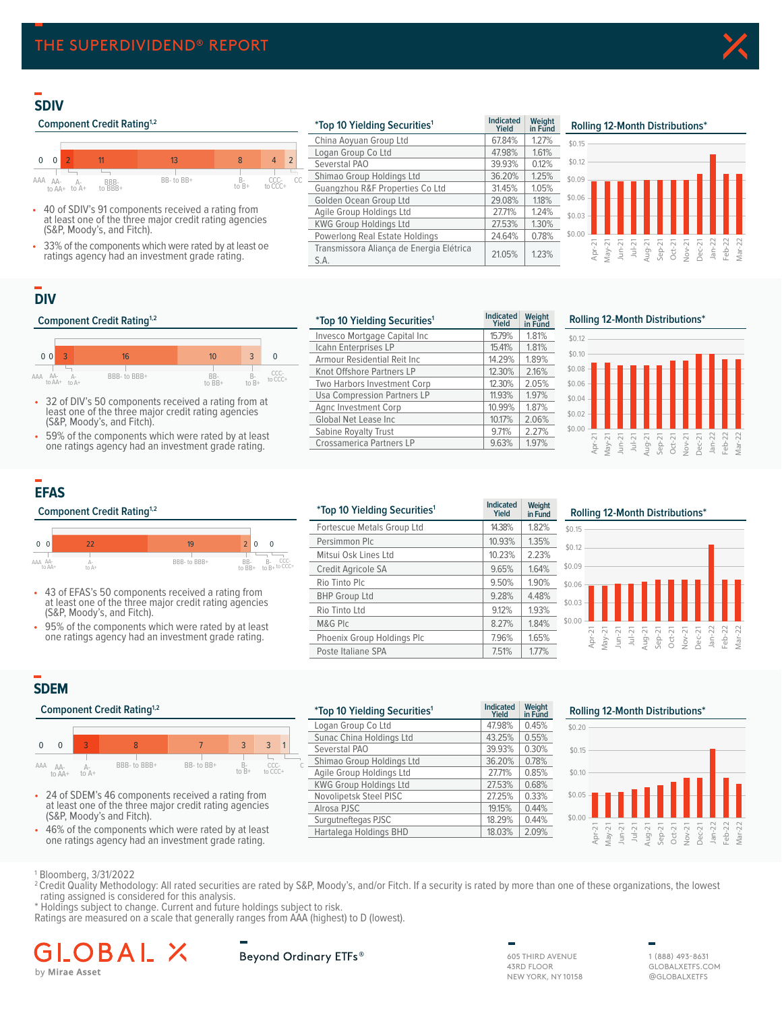## **SDIV**

### **Component Credit Rating<sup>1,2</sup>**



- 40 of SDIV's 91 components received a rating from at least one of the three major credit rating agencies (S&P, Moody's, and Fitch).
- 33% of the components which were rated by at least oe ratings agency had an investment grade rating.

| <i>*Top 10 Yielding Securities<sup>1</sup></i>   | <b>Indicated</b><br>Yield | Weight<br>in Fund |
|--------------------------------------------------|---------------------------|-------------------|
| China Aoyuan Group Ltd                           | 67.84%                    | 1.27%             |
| Logan Group Co Ltd                               | 47.98%                    | 1.61%             |
| Severstal PAO                                    | 39.93%                    | 0.12%             |
| Shimao Group Holdings Ltd                        | 36.20%                    | 1.25%             |
| Guangzhou R&F Properties Co Ltd                  | 31.45%                    | 1.05%             |
| Golden Ocean Group Ltd                           | 29.08%                    | 1.18%             |
| Agile Group Holdings Ltd                         | 27.71%                    | 1.24%             |
| <b>KWG Group Holdings Ltd</b>                    | 27.53%                    | 1.30%             |
| Powerlong Real Estate Holdings                   | 24.64%                    | 0.78%             |
| Transmissora Aliança de Energia Elétrica<br>S.A. | 21.05%                    | 123%              |

## **SDIV Rolling 12 Month Distributions² Rolling 12-Month Distributions\***



## **DIV**

### **Component Credit Rating<sup>1,2</sup>**



- 32 of DIV's 50 components received a rating from at least one of the three major credit rating agencies (S&P, Moody's, and Fitch).
- 59% of the components which were rated by at least one ratings agency had an investment grade rating.

| *Top 10 Yielding Securities <sup>1</sup> | <b>Indicated</b><br>Yield | Weight<br>in Fund |
|------------------------------------------|---------------------------|-------------------|
| Invesco Mortgage Capital Inc             | 15.79%                    | 1.81%             |
| Icahn Enterprises LP                     | 15.41%                    | 1.81%             |
| Armour Residential Reit Inc.             | 14.29%                    | 1.89%             |
| Knot Offshore Partners LP                | 12.30%                    | 2.16%             |
| Two Harbors Investment Corp              | 12.30%                    | 2.05%             |
| Usa Compression Partners LP              | 11.93%                    | 1.97%             |
| Agnc Investment Corp                     | 10.99%                    | 1.87%             |
| Global Net Lease Inc.                    | 10.17%                    | 2.06%             |
| Sabine Royalty Trust                     | 9.71%                     | 2.27%             |
| <b>Crossamerica Partners LP</b>          | 9.63%                     | 1.97%             |
|                                          |                           |                   |

**DIV Rolling 12 Month Distributions² Rolling 12-Month Distributions\***



# **EFAS**



- 43 of EFAS's 50 components received a rating from at least one of the three major credit rating agencies (S&P, Moody's, and Fitch).
- 95% of the components which were rated by at least one ratings agency had an investment grade rating.

|                   | <b>Component Credit Rating</b> <sup>1,2</sup> |                                                                                                               |                                                             | <i>*Top 10 Yielding Securities<sup>1</sup></i> | <b>Indicated</b><br>Yield | Weight<br>in Fund |
|-------------------|-----------------------------------------------|---------------------------------------------------------------------------------------------------------------|-------------------------------------------------------------|------------------------------------------------|---------------------------|-------------------|
|                   |                                               |                                                                                                               |                                                             | Fortescue Metals Group Ltd                     | 14.38%                    | 1.82%             |
| 0 <sub>0</sub>    | 22                                            | 19                                                                                                            | 2 <sup>1</sup><br>$\overline{0}$<br>$\Omega$                | Persimmon Plc                                  | 10.93%                    | 1.35%             |
|                   |                                               |                                                                                                               |                                                             | Mitsui Osk Lines Ltd                           | 10.23%                    | 2.23%             |
| AAA AA-<br>to AA+ | Д.<br>to A+                                   | BBB-to BBB+                                                                                                   | $B-$ CCC-<br>to $B+$ to CCC+<br>BB-<br>to $\overline{BB}$ + | Credit Agricole SA                             | 9.65%                     | 1.64%             |
|                   |                                               |                                                                                                               |                                                             | Rio Tinto Plc                                  | 9.50%                     | 1.90%             |
|                   |                                               | • 43 of EFAS's 50 components received a rating from<br>at least one of the three major credit rating agencies |                                                             | <b>BHP Group Ltd</b>                           | 9.28%                     | 4.48%             |
|                   | (S&P, Moody's, and Fitch).                    |                                                                                                               |                                                             | Rio Tinto Ltd                                  | 9.12%                     | 1.93%             |
|                   |                                               | • 95% of the components which were rated by at least                                                          |                                                             | M&G PIC                                        | 8.27%                     | 1.84%             |
|                   |                                               | one ratings agency had an investment grade rating.                                                            |                                                             | Phoenix Group Holdings Plc                     | 7.96%                     | 1.65%             |
|                   |                                               |                                                                                                               |                                                             | Poste Italiane SPA                             | 7.51%                     | 1.77%             |
|                   |                                               |                                                                                                               |                                                             |                                                |                           |                   |

#### **EFAS Rolling 12 Month Distributions² Rolling 12-Month Distributions\*** \$0.00 \$0.03 \$0.06 \$0.09 \$0.12 \$0.15 Apr-21 May-21 Jun-21 Jul-21 Aug-21 Sep-21 Oct-21 Nov-21 Dec-21 Jan-22 Feb-22 Mar-22

## **SDEM**

#### **Component Credit Rating<sup>1,2</sup>**





• 46% of the components which were rated by at least one ratings agency had an investment grade rating.

|                                                        | Component Credit Rating <sup>1,2</sup> |  |                                                   |                          |                        | <i>*Top 10 Yielding Securities<sup>1</sup></i> | <b>Indicated</b><br>Yield | Weight<br>in Fund             | <b>Rolling 12-Month Distributions*</b> |           |        |   |  |  |  |  |  |
|--------------------------------------------------------|----------------------------------------|--|---------------------------------------------------|--------------------------|------------------------|------------------------------------------------|---------------------------|-------------------------------|----------------------------------------|-----------|--------|---|--|--|--|--|--|
|                                                        |                                        |  |                                                   |                          |                        |                                                |                           | Logan Group Co Ltd            | 47.98%                                 | 0.45%     | \$0.20 |   |  |  |  |  |  |
|                                                        |                                        |  |                                                   |                          |                        |                                                |                           | Sunac China Holdings Ltd      | 43.25%                                 | 0.55%     |        |   |  |  |  |  |  |
|                                                        | $\Omega$                               |  | 8                                                 |                          |                        | 3                                              |                           | Severstal PAO                 | 39.93%                                 | 0.30%     | \$0.15 |   |  |  |  |  |  |
|                                                        |                                        |  | BBB- to BBB+                                      | BB-to BB+                | B-                     | CCC-                                           |                           | Shimao Group Holdings Ltd     | 36.20%                                 | 0.78%     |        |   |  |  |  |  |  |
| AA AA-<br>to $B+$<br>to CCC+<br>to A+<br>to AA+        |                                        |  |                                                   | Agile Group Holdings Ltd | 27.71%                 | 0.85%                                          | \$0.10                    |                               |                                        |           |        |   |  |  |  |  |  |
|                                                        |                                        |  |                                                   |                          |                        |                                                |                           | <b>KWG Group Holdings Ltd</b> | 27.53%                                 | 0.68%     |        |   |  |  |  |  |  |
|                                                        |                                        |  | 24 of SDEM's 46 components received a rating from |                          |                        |                                                |                           | Novolipetsk Steel PISC        | 27.25%                                 | 0.33%     | \$0.05 |   |  |  |  |  |  |
| at least one of the three major credit rating agencies |                                        |  |                                                   |                          | Alrosa PJSC            | 19.15%                                         | 0.44%                     |                               |                                        |           |        |   |  |  |  |  |  |
| (S&P, Moody's and Fitch).                              |                                        |  |                                                   |                          | Surgutneftegas PJSC    | 18.29%                                         | 0.44%                     | \$0.00                        |                                        |           |        |   |  |  |  |  |  |
| 46% of the components which were rated by at least     |                                        |  |                                                   |                          | Hartalega Holdings BHD | 18.03%                                         | 2.09%                     |                               |                                        | $\bar{z}$ | g      | 읎 |  |  |  |  |  |
| ono ratinge agoncy had an invoctmont grado rating      |                                        |  |                                                   |                          |                        |                                                |                           |                               |                                        |           |        |   |  |  |  |  |  |



1 Bloomberg, 3/31/2022

<sup>2</sup> Credit Quality Methodology: All rated securities are rated by S&P, Moody's, and/or Fitch. If a security is rated by more than one of these organizations, the lowest rating assigned is considered for this analysis.

\* Holdings subject to change. Current and future holdings subject to risk.

Ratings are measured on a scale that generally ranges from AAA (highest) to D (lowest).

## В by Mirae Asset

## Beyond Ordinary ETFs®

605 THIRD AVENUE 43RD FLOOR NEW YORK, NY 10158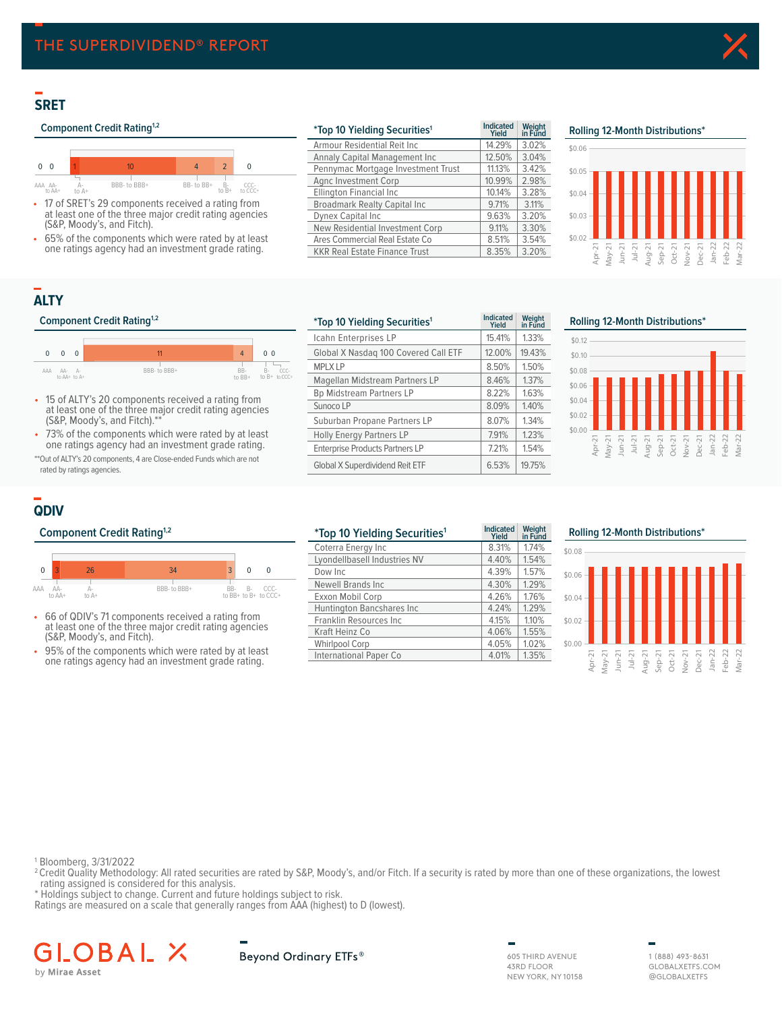## **SRET**

## **Component Credit Rating<sup>1,2</sup>**



- 17 of SRET's 29 components received a rating from at least one of the three major credit rating agencies (S&P, Moody's, and Fitch).
- 65% of the components which were rated by at least one ratings agency had an investment grade rating.

| <i>*Top 10 Yielding Securities<sup>1</sup></i> | <b>Indicated</b><br>Yield | Weight<br>in Fund | Rolling 12-Month Distributions* |
|------------------------------------------------|---------------------------|-------------------|---------------------------------|
| Armour Residential Reit Inc.                   | 14.29%                    | 3.02%             | \$0.06                          |
| Annaly Capital Management Inc.                 | 12.50%                    | 3.04%             |                                 |
| Pennymac Mortgage Investment Trust             | 11.13%                    | 3.42%             | \$0.05                          |
| Agnc Investment Corp                           | 10.99%                    | 2.98%             |                                 |
| Ellington Financial Inc                        | 10.14%                    | 3.28%             | \$0.04                          |
| <b>Broadmark Realty Capital Inc.</b>           | 9.71%                     | 3.11%             |                                 |
| <b>Dynex Capital Inc</b>                       | 9.63%                     | 3.20%             | \$0.03                          |
| New Residential Investment Corp                | 9.11%                     | 3.30%             |                                 |
| Ares Commercial Real Estate Co                 | 8.51%                     | 3.54%             | \$0.02                          |
| <b>KKR Real Estate Finance Trust</b>           | 8.35%                     | 3.20%             | Ņ                               |



# **ALTY**

#### **Component Credit Rating<sup>1,2</sup>**



- 15 of ALTY's 20 components received a rating from at least one of the three major credit rating agencies (S&P, Moody's, and Fitch).\*\*
- 73% of the components which were rated by at least one ratings agency had an investment grade rating.

\*\*Out of ALTY's 20 components, 4 are Close-ended Funds which are not rated by ratings agencies.

| <i>*Top 10 Yielding Securities<sup>1</sup></i> | <b>Indicated</b><br>Yield | Weight<br>in Fund | Rolling 12-Month Distributions*                                                          |
|------------------------------------------------|---------------------------|-------------------|------------------------------------------------------------------------------------------|
| Icahn Enterprises LP                           | 15.41%                    | 1.33%             | \$0.12                                                                                   |
| Global X Nasdag 100 Covered Call ETF           | 12.00%                    | 19.43%            | \$0.10                                                                                   |
| <b>MPLX LP</b>                                 | 8.50%                     | 1.50%             | \$0.08                                                                                   |
| Magellan Midstream Partners LP                 | 8.46%                     | 1.37%             | \$0.06                                                                                   |
| <b>Bp Midstream Partners LP</b>                | 8.22%                     | 1.63%             |                                                                                          |
| Sunoco LP                                      | 8.09%                     | 1.40%             | $$0.04 -$                                                                                |
| Suburban Propane Partners LP                   | 8.07%                     | 1.34%             | $$0.02 -$                                                                                |
| <b>Holly Energy Partners LP</b>                | 7.91%                     | 1.23%             | \$0.00                                                                                   |
| <b>Enterprise Products Partners LP</b>         | 7.21%                     | 1.54%             | Apr-21<br>May-21<br>Jul-21<br>Jul-21<br>Sep-21<br>Sep-21<br>Oct-21<br>Oct-21<br>$Dec-21$ |
| Global X Superdividend Reit ETF                | 6.53%                     | 19.75%            |                                                                                          |



## **QDIV**

## **Component Credit Rating<sup>1,2</sup>**



- 66 of QDIV's 71 components received a rating from at least one of the three major credit rating agencies (S&P, Moody's, and Fitch).
- 95% of the components which were rated by at least one ratings agency had an investment grade rating.

| <i>*Top 10 Yielding Securities<sup>1</sup></i> | <b>Indicated</b><br>Yield | Weight<br>in Fund | Rolling 12-Month Distributions*                                                                         |
|------------------------------------------------|---------------------------|-------------------|---------------------------------------------------------------------------------------------------------|
| Coterra Energy Inc                             | 8.31%                     | 1.74%             | \$0.08                                                                                                  |
| Lyondellbasell Industries NV                   | 4.40%                     | 1.54%             |                                                                                                         |
| Dow Inc.                                       | 4.39%                     | 1.57%             | \$0.06                                                                                                  |
| <b>Newell Brands Inc.</b>                      | 4.30%                     | 1.29%             |                                                                                                         |
| Exxon Mobil Corp                               | 4.26%                     | 1.76%             | \$0.04                                                                                                  |
| Huntington Bancshares Inc                      | 4.24%                     | 1.29%             |                                                                                                         |
| Franklin Resources Inc                         | 4.15%                     | 1.10%             | \$0.02                                                                                                  |
| Kraft Heinz Co                                 | 4.06%                     | 1.55%             |                                                                                                         |
| <b>Whirlpool Corp</b>                          | 4.05%                     | 1.02%             | \$0.00                                                                                                  |
| International Paper Co                         | 4.01%                     | 1.35%             | $\sim$ $\sim$<br>$\sim$<br>$\sim$<br>$\sim$<br>$\sim$<br>$\overline{\phantom{a}}$<br>ىند<br><b>SHOW</b> |

| Rolling 12-Month Distributions* |        |          |           |                  |          |                  |          |          |          |          |
|---------------------------------|--------|----------|-----------|------------------|----------|------------------|----------|----------|----------|----------|
| \$0.08                          |        |          |           |                  |          |                  |          |          |          |          |
| \$0.06                          |        |          |           |                  |          |                  |          |          |          |          |
| \$0.04                          |        |          |           |                  |          |                  |          |          |          |          |
| \$0.02                          |        |          |           |                  |          |                  |          |          |          |          |
| \$0.00                          |        |          |           |                  |          |                  |          |          |          |          |
|                                 | Apr-21 | $May-21$ | $J$ un-21 | Jul-21<br>Aug-21 | $Sep-21$ | Oct-21<br>Nov-21 | $Dec-21$ | $Jan-22$ | $Feb-22$ | $Mar-22$ |

1 Bloomberg, 3/31/2022

- <sup>2</sup> Credit Quality Methodology: All rated securities are rated by S&P, Moody's, and/or Fitch. If a security is rated by more than one of these organizations, the lowest rating assigned is considered for this analysis.
- \* Holdings subject to change. Current and future holdings subject to risk.

Ratings are measured on a scale that generally ranges from AAA (highest) to D (lowest).

#### BAL. GLC 人 by Mirae Asset

Beyond Ordinary ETFs®

605 THIRD AVENUE 43RD FLOOR NEW YORK, NY 10158